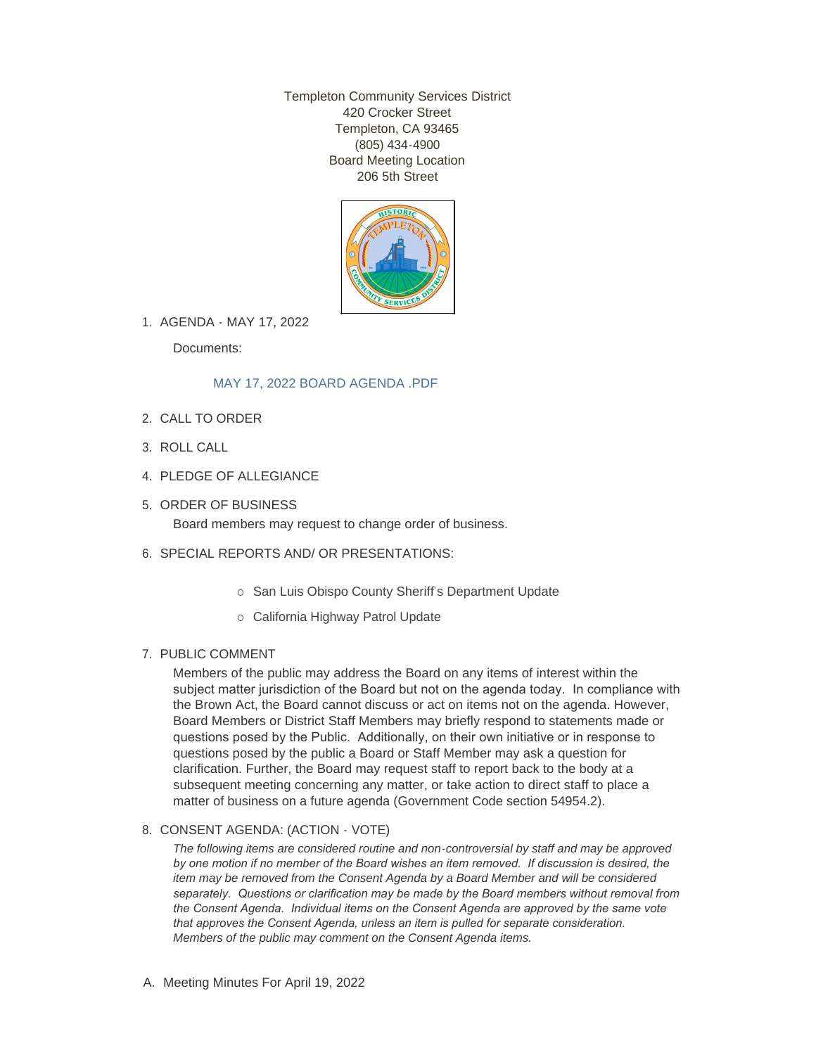Templeton Community Services District 420 Crocker Street Templeton, CA 93465 (805) 434-4900 Board Meeting Location 206 5th Street



1. AGENDA - MAY 17, 2022

Documents:

# [MAY 17, 2022 BOARD AGENDA .PDF](http://templetoncsd.org/AgendaCenter/ViewFile/Item/4701?fileID=3264)

- 2. CALL TO ORDER
- ROLL CALL 3.
- 4. PLEDGE OF ALLEGIANCE
- 5. ORDER OF BUSINESS Board members may request to change order of business.
- 6. SPECIAL REPORTS AND/ OR PRESENTATIONS:
	- o San Luis Obispo County Sheriff's Department Update
	- o California Highway Patrol Update

# 7. PUBLIC COMMENT

Members of the public may address the Board on any items of interest within the subject matter jurisdiction of the Board but not on the agenda today. In compliance with the Brown Act, the Board cannot discuss or act on items not on the agenda. However, Board Members or District Staff Members may briefly respond to statements made or questions posed by the Public. Additionally, on their own initiative or in response to questions posed by the public a Board or Staff Member may ask a question for clarification. Further, the Board may request staff to report back to the body at a subsequent meeting concerning any matter, or take action to direct staff to place a matter of business on a future agenda (Government Code section 54954.2).

### 8. CONSENT AGENDA: (ACTION - VOTE)

*The following items are considered routine and non-controversial by staff and may be approved by one motion if no member of the Board wishes an item removed. If discussion is desired, the item may be removed from the Consent Agenda by a Board Member and will be considered separately. Questions or clarification may be made by the Board members without removal from the Consent Agenda. Individual items on the Consent Agenda are approved by the same vote that approves the Consent Agenda, unless an item is pulled for separate consideration. Members of the public may comment on the Consent Agenda items.*

A. Meeting Minutes For April 19, 2022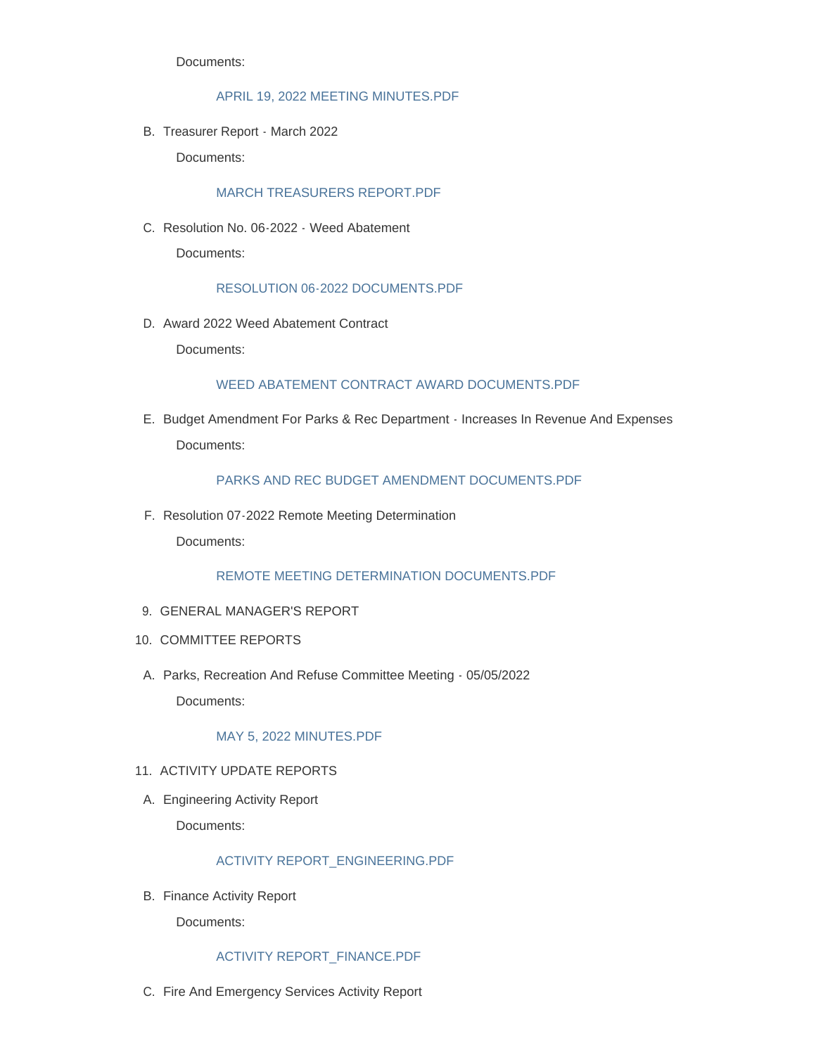Documents:

## [APRIL 19, 2022 MEETING MINUTES.PDF](http://templetoncsd.org/AgendaCenter/ViewFile/Item/4676?fileID=3247)

B. Treasurer Report - March 2022

Documents:

## [MARCH TREASURERS REPORT.PDF](http://templetoncsd.org/AgendaCenter/ViewFile/Item/4677?fileID=3248)

C. Resolution No. 06-2022 - Weed Abatement

Documents:

#### [RESOLUTION 06-2022 DOCUMENTS.PDF](http://templetoncsd.org/AgendaCenter/ViewFile/Item/4699?fileID=3261)

D. Award 2022 Weed Abatement Contract

Documents:

#### WEED ABATEMENT CONTRACT AWARD DOCUMENTS PDF

E. Budget Amendment For Parks & Rec Department - Increases In Revenue And Expenses Documents:

## [PARKS AND REC BUDGET AMENDMENT DOCUMENTS.PDF](http://templetoncsd.org/AgendaCenter/ViewFile/Item/4678?fileID=3249)

F. Resolution 07-2022 Remote Meeting Determination

Documents:

[REMOTE MEETING DETERMINATION DOCUMENTS.PDF](http://templetoncsd.org/AgendaCenter/ViewFile/Item/4679?fileID=3266)

- GENERAL MANAGER'S REPORT 9.
- 10. COMMITTEE REPORTS
- A. Parks, Recreation And Refuse Committee Meeting 05/05/2022 Documents:

### [MAY 5, 2022 MINUTES.PDF](http://templetoncsd.org/AgendaCenter/ViewFile/Item/4700?fileID=3263)

- 11. ACTIVITY UPDATE REPORTS
- A. Engineering Activity Report

Documents:

# [ACTIVITY REPORT\\_ENGINEERING.PDF](http://templetoncsd.org/AgendaCenter/ViewFile/Item/4680?fileID=3251)

B. Finance Activity Report

Documents:

#### [ACTIVITY REPORT\\_FINANCE.PDF](http://templetoncsd.org/AgendaCenter/ViewFile/Item/4681?fileID=3252)

C. Fire And Emergency Services Activity Report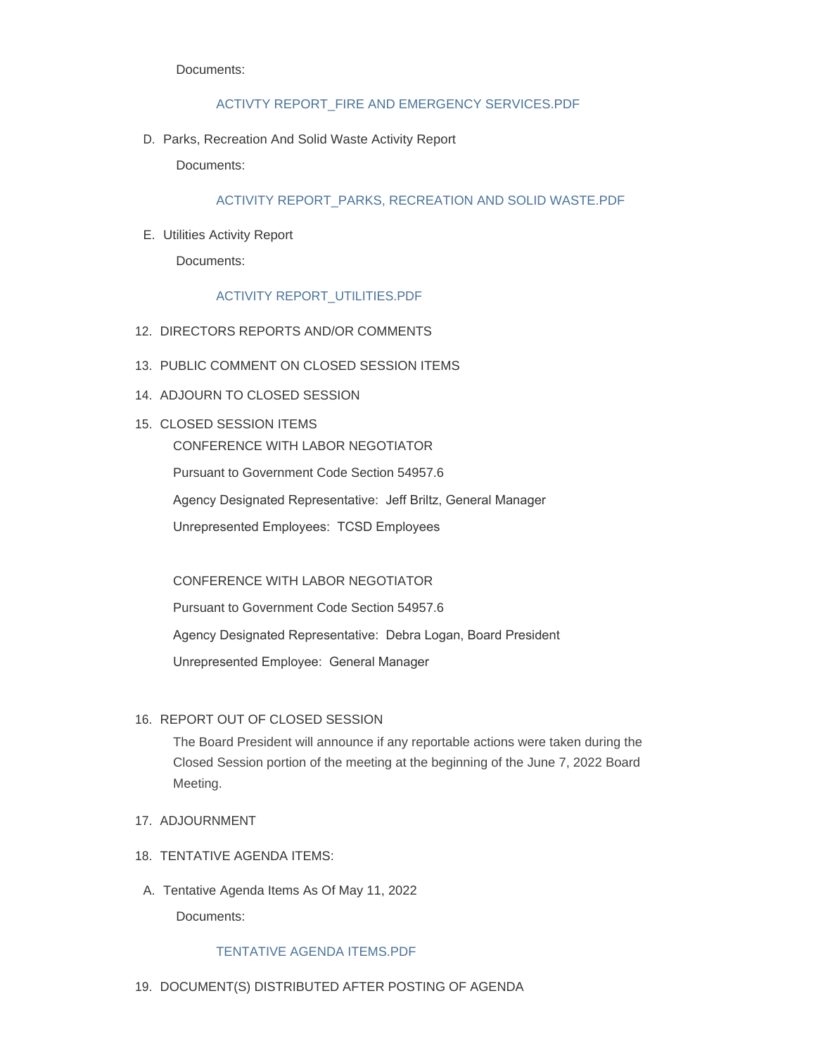Documents:

### [ACTIVTY REPORT\\_FIRE AND EMERGENCY SERVICES.PDF](http://templetoncsd.org/AgendaCenter/ViewFile/Item/4682?fileID=3253)

D. Parks, Recreation And Solid Waste Activity Report

Documents:

# [ACTIVITY REPORT\\_PARKS, RECREATION AND SOLID WASTE.PDF](http://templetoncsd.org/AgendaCenter/ViewFile/Item/4698?fileID=3260)

Utilities Activity Report E.

Documents:

# [ACTIVITY REPORT\\_UTILITIES.PDF](http://templetoncsd.org/AgendaCenter/ViewFile/Item/4683?fileID=3254)

- 12. DIRECTORS REPORTS AND/OR COMMENTS
- 13. PUBLIC COMMENT ON CLOSED SESSION ITEMS
- 14. ADJOURN TO CLOSED SESSION
- 15. CLOSED SESSION ITEMS CONFERENCE WITH LABOR NEGOTIATOR Pursuant to Government Code Section 54957.6 Agency Designated Representative: Jeff Briltz, General Manager Unrepresented Employees: TCSD Employees

# CONFERENCE WITH LABOR NEGOTIATOR

Pursuant to Government Code Section 54957.6 Agency Designated Representative: Debra Logan, Board President Unrepresented Employee: General Manager

# 16. REPORT OUT OF CLOSED SESSION

The Board President will announce if any reportable actions were taken during the Closed Session portion of the meeting at the beginning of the June 7, 2022 Board Meeting.

- 17. ADJOURNMENT
- 18. TENTATIVE AGENDA ITEMS:
- A. Tentative Agenda Items As Of May 11, 2022

Documents:

### [TENTATIVE AGENDA ITEMS.PDF](http://templetoncsd.org/AgendaCenter/ViewFile/Item/4684?fileID=3262)

19. DOCUMENT(S) DISTRIBUTED AFTER POSTING OF AGENDA